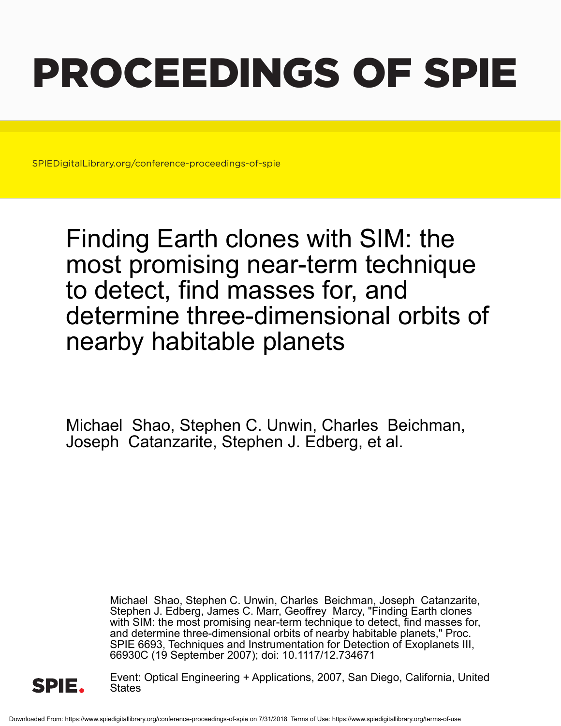# PROCEEDINGS OF SPIE

SPIEDigitalLibrary.org/conference-proceedings-of-spie

Finding Earth clones with SIM: the most promising near-term technique to detect, find masses for, and determine three-dimensional orbits of nearby habitable planets

Michael Shao, Stephen C. Unwin, Charles Beichman, Joseph Catanzarite, Stephen J. Edberg, et al.

> Michael Shao, Stephen C. Unwin, Charles Beichman, Joseph Catanzarite, Stephen J. Edberg, James C. Marr, Geoffrey Marcy, "Finding Earth clones with SIM: the most promising near-term technique to detect, find masses for, and determine three-dimensional orbits of nearby habitable planets," Proc. SPIE 6693, Techniques and Instrumentation for Detection of Exoplanets III, 66930C (19 September 2007); doi: 10.1117/12.734671



Event: Optical Engineering + Applications, 2007, San Diego, California, United States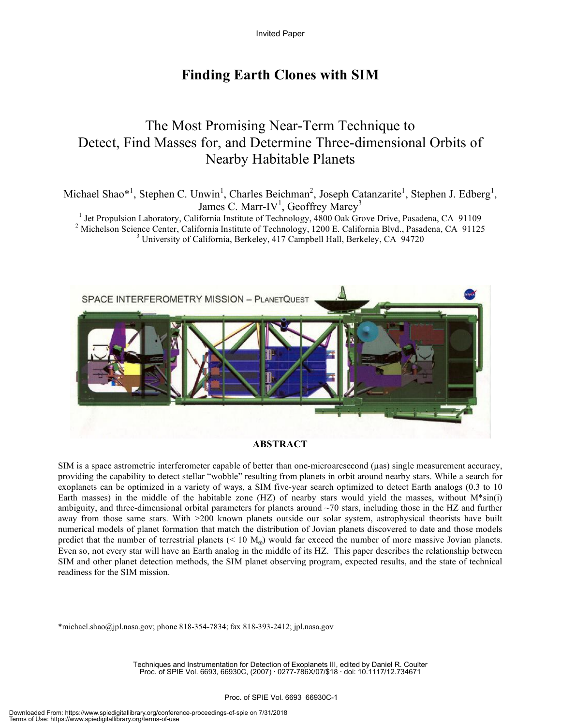## **Finding Earth Clones with SIM**

## The Most Promising Near-Term Technique to Detect, Find Masses for, and Determine Three-dimensional Orbits of Nearby Habitable Planets

Michael Shao<sup>\*1</sup>, Stephen C. Unwin<sup>1</sup>, Charles Beichman<sup>2</sup>, Joseph Catanzarite<sup>1</sup>, Stephen J. Edberg<sup>1</sup>, James C. Marr-IV<sup>1</sup>, Geoffrey Marcy<sup>3</sup>

<sup>1</sup> Jet Propulsion Laboratory, California Institute of Technology, 4800 Oak Grove Drive, Pasadena, CA 91109<br><sup>2</sup> Michelson Seignes Contag California Institute of Technology, 4800 E. California Plud, Pesedane, CA 91126

<sup>2</sup> Michelson Science Center, California Institute of Technology, 1200 E. California Blvd., Pasadena, CA 91125 University of California, Berkeley, 417 Campbell Hall, Berkeley, CA 94720



### **ABSTRACT**

SIM is a space astrometric interferometer capable of better than one-microarcsecond (µas) single measurement accuracy, providing the capability to detect stellar "wobble" resulting from planets in orbit around nearby stars. While a search for exoplanets can be optimized in a variety of ways, a SIM five-year search optimized to detect Earth analogs (0.3 to 10 Earth masses) in the middle of the habitable zone (HZ) of nearby stars would yield the masses, without M\*sin(i) ambiguity, and three-dimensional orbital parameters for planets around  $\sim$ 70 stars, including those in the HZ and further away from those same stars. With >200 known planets outside our solar system, astrophysical theorists have built numerical models of planet formation that match the distribution of Jovian planets discovered to date and those models predict that the number of terrestrial planets ( $\leq 10 \text{ M}_{\oplus}$ ) would far exceed the number of more massive Jovian planets. Even so, not every star will have an Earth analog in the middle of its HZ. This paper describes the relationship between SIM and other planet detection methods, the SIM planet observing program, expected results, and the state of technical readiness for the SIM mission.

\*michael.shao@jpl.nasa.gov; phone 818-354-7834; fax 818-393-2412; jpl.nasa.gov

Techniques and Instrumentation for Detection of Exoplanets III, edited by Daniel R. Coulter Proc. of SPIE Vol. 6693, 66930C, (2007) · 0277-786X/07/\$18 · doi: 10.1117/12.734671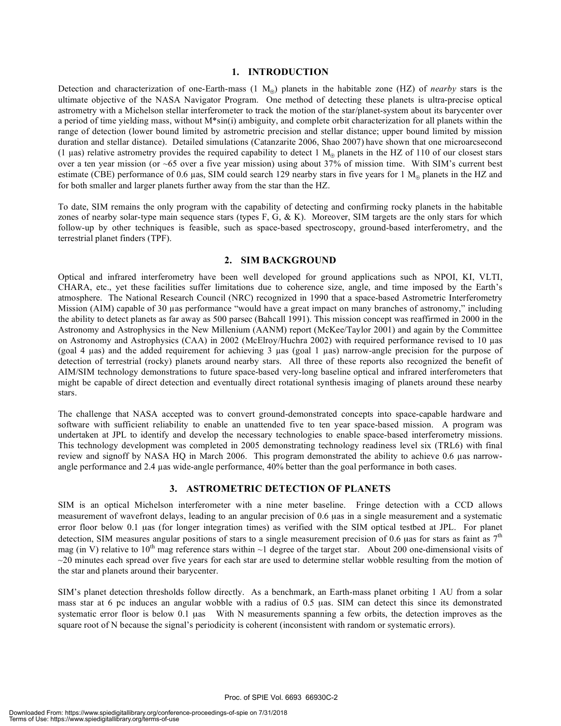#### **1. INTRODUCTION**

Detection and characterization of one-Earth-mass  $(1 M_{\odot})$  planets in the habitable zone  $(HZ)$  of *nearby* stars is the ultimate objective of the NASA Navigator Program. One method of detecting these planets is ultra-precise optical astrometry with a Michelson stellar interferometer to track the motion of the star/planet-system about its barycenter over a period of time yielding mass, without M\*sin(i) ambiguity, and complete orbit characterization for all planets within the range of detection (lower bound limited by astrometric precision and stellar distance; upper bound limited by mission duration and stellar distance). Detailed simulations (Catanzarite 2006, Shao 2007) have shown that one microarcsecond (1 µas) relative astrometry provides the required capability to detect 1  $M_{\oplus}$  planets in the HZ of 110 of our closest stars over a ten year mission (or ~65 over a five year mission) using about 37% of mission time. With SIM's current best estimate (CBE) performance of 0.6  $\mu$ as, SIM could search 129 nearby stars in five years for 1  $M_{\oplus}$  planets in the HZ and for both smaller and larger planets further away from the star than the HZ.

To date, SIM remains the only program with the capability of detecting and confirming rocky planets in the habitable zones of nearby solar-type main sequence stars (types  $F, G, \& K$ ). Moreover, SIM targets are the only stars for which follow-up by other techniques is feasible, such as space-based spectroscopy, ground-based interferometry, and the terrestrial planet finders (TPF).

#### **2. SIM BACKGROUND**

Optical and infrared interferometry have been well developed for ground applications such as NPOI, KI, VLTI, CHARA, etc., yet these facilities suffer limitations due to coherence size, angle, and time imposed by the Earth's atmosphere. The National Research Council (NRC) recognized in 1990 that a space-based Astrometric Interferometry Mission (AIM) capable of 30 µas performance "would have a great impact on many branches of astronomy," including the ability to detect planets as far away as 500 parsec (Bahcall 1991). This mission concept was reaffirmed in 2000 in the Astronomy and Astrophysics in the New Millenium (AANM) report (McKee/Taylor 2001) and again by the Committee on Astronomy and Astrophysics (CAA) in 2002 (McElroy/Huchra 2002) with required performance revised to 10 µas (goal 4  $\mu$ as) and the added requirement for achieving 3  $\mu$ as (goal 1  $\mu$ as) narrow-angle precision for the purpose of detection of terrestrial (rocky) planets around nearby stars. All three of these reports also recognized the benefit of AIM/SIM technology demonstrations to future space-based very-long baseline optical and infrared interferometers that might be capable of direct detection and eventually direct rotational synthesis imaging of planets around these nearby stars.

The challenge that NASA accepted was to convert ground-demonstrated concepts into space-capable hardware and software with sufficient reliability to enable an unattended five to ten year space-based mission. A program was undertaken at JPL to identify and develop the necessary technologies to enable space-based interferometry missions. This technology development was completed in 2005 demonstrating technology readiness level six (TRL6) with final review and signoff by NASA HQ in March 2006. This program demonstrated the ability to achieve 0.6 µas narrowangle performance and 2.4 µ as wide-angle performance, 40% better than the goal performance in both cases.

#### **3. ASTROMETRIC DETECTION OF PLANETS**

SIM is an optical Michelson interferometer with a nine meter baseline. Fringe detection with a CCD allows measurement of wavefront delays, leading to an angular precision of 0.6 µas in a single measurement and a systematic error floor below 0.1 µas (for longer integration times) as verified with the SIM optical testbed at JPL. For planet detection, SIM measures angular positions of stars to a single measurement precision of 0.6 µas for stars as faint as  $7<sup>th</sup>$ mag (in V) relative to  $10^{th}$  mag reference stars within  $\sim$ 1 degree of the target star. About 200 one-dimensional visits of  $\sim$ 20 minutes each spread over five years for each star are used to determine stellar wobble resulting from the motion of the star and planets around their barycenter.

SIM's planet detection thresholds follow directly. As a benchmark, an Earth-mass planet orbiting 1 AU from a solar mass star at 6 pc induces an angular wobble with a radius of 0.5 µas. SIM can detect this since its demonstrated systematic error floor is below 0.1 µas With N measurements spanning a few orbits, the detection improves as the square root of N because the signal's periodicity is coherent (inconsistent with random or systematic errors).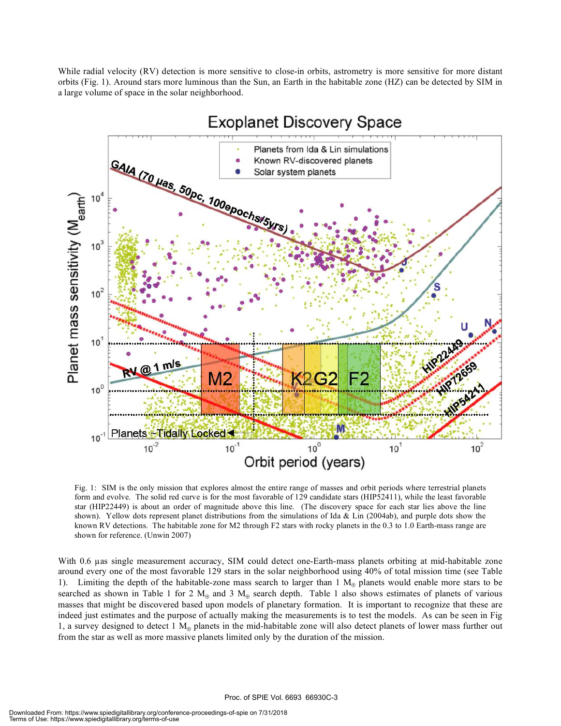While radial velocity (RV) detection is more sensitive to close-in orbits, astrometry is more sensitive for more distant orbits (Fig. 1). Around stars more luminous than the Sun, an Earth in the habitable zone (HZ) can be detected by SIM in a large volume of space in the solar neighborhood.



Fig. 1: SIM is the only mission that explores almost the entire range of masses and orbit periods where terrestrial planets form and evolve. The solid red curve is for the most favorable of 129 candidate stars (HIP52411), while the least favorable star (HIP22449) is about an order of magnitude above this line. (The discovery space for each star lies above the line shown). Yellow dots represent planet distributions from the simulations of Ida & Lin (2004ab), and purple dots show the known RV detections. The habitable zone for M2 through F2 stars with rocky planets in the 0.3 to 1.0 Earth-mass range are shown for reference. (Unwin 2007)

With 0.6 uas single measurement accuracy, SIM could detect one-Earth-mass planets orbiting at mid-habitable zone around every one of the most favorable 129 stars in the solar neighborhood using 40% of total mission time (see Table 1). Limiting the depth of the habitable-zone mass search to larger than  $1 \text{ M}_{\oplus}$  planets would enable more stars to be searched as shown in Table 1 for 2  $M_{\oplus}$  and 3  $M_{\oplus}$  search depth. Table 1 also shows estimates of planets of various masses that might be discovered based upon models of planetary formation. It is important to recognize that these are indeed just estimates and the purpose of actually making the measurements is to test the models. As can be seen in Fig 1, a survey designed to detect 1  $M_{\odot}$  planets in the mid-habitable zone will also detect planets of lower mass further out from the star as well as more massive planets limited only by the duration of the mission.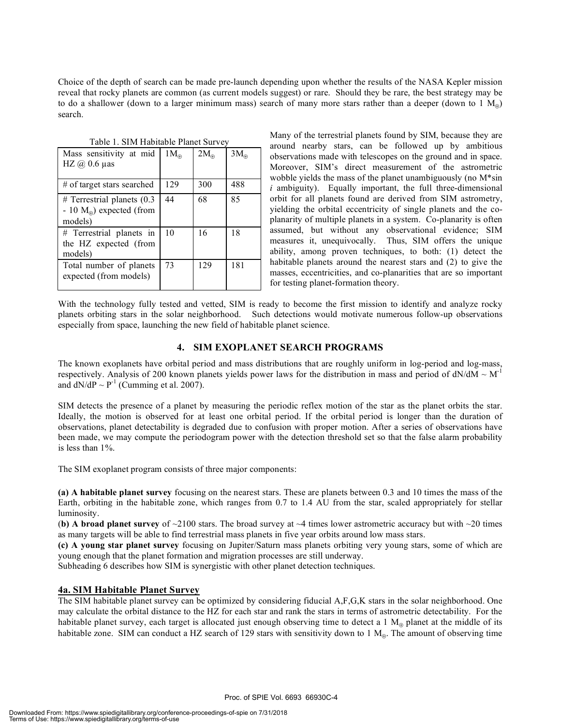Choice of the depth of search can be made pre-launch depending upon whether the results of the NASA Kepler mission reveal that rocky planets are common (as current models suggest) or rare. Should they be rare, the best strategy may be to do a shallower (down to a larger minimum mass) search of many more stars rather than a deeper (down to 1  $M_{\odot}$ ) search.

| Mass sensitivity at mid<br>HZ $(a)$ 0.6 µas                                    | $1M_{\odot}$ | $2M_{\oplus}$ | $3M_a$ |
|--------------------------------------------------------------------------------|--------------|---------------|--------|
| # of target stars searched                                                     | 129          | 300           | 488    |
| # Terrestrial planets $(0.3)$<br>- 10 $M_{\oplus}$ ) expected (from<br>models) | 44           | 68            | 85     |
| # Terrestrial planets in<br>the HZ expected (from<br>models)                   | 10           | 16            | 18     |
| Total number of planets<br>expected (from models)                              | 73           | 129           | 181    |

Table 1. SIM Habitable Planet Survey

Many of the terrestrial planets found by SIM, because they are around nearby stars, can be followed up by ambitious observations made with telescopes on the ground and in space. Moreover, SIM's direct measurement of the astrometric wobble yields the mass of the planet unambiguously (no M\*sin *i* ambiguity). Equally important, the full three-dimensional orbit for all planets found are derived from SIM astrometry, yielding the orbital eccentricity of single planets and the coplanarity of multiple planets in a system. Co-planarity is often assumed, but without any observational evidence; SIM measures it, unequivocally. Thus, SIM offers the unique ability, among proven techniques, to both: (1) detect the habitable planets around the nearest stars and (2) to give the masses, eccentricities, and co-planarities that are so important for testing planet-formation theory.

With the technology fully tested and vetted, SIM is ready to become the first mission to identify and analyze rocky planets orbiting stars in the solar neighborhood. Such detections would motivate numerous follow-up observations especially from space, launching the new field of habitable planet science.

#### **4. SIM EXOPLANET SEARCH PROGRAMS**

The known exoplanets have orbital period and mass distributions that are roughly uniform in log-period and log-mass, respectively. Analysis of 200 known planets yields power laws for the distribution in mass and period of  $dN/dM \sim M^{-1}$ and  $dN/dP \sim P^{-1}$  (Cumming et al. 2007).

SIM detects the presence of a planet by measuring the periodic reflex motion of the star as the planet orbits the star. Ideally, the motion is observed for at least one orbital period. If the orbital period is longer than the duration of observations, planet detectability is degraded due to confusion with proper motion. After a series of observations have been made, we may compute the periodogram power with the detection threshold set so that the false alarm probability is less than 1%.

The SIM exoplanet program consists of three major components:

**(a) A habitable planet survey** focusing on the nearest stars. These are planets between 0.3 and 10 times the mass of the Earth, orbiting in the habitable zone, which ranges from 0.7 to 1.4 AU from the star, scaled appropriately for stellar luminosity.

(**b**) A broad planet survey of  $\sim$ 2100 stars. The broad survey at  $\sim$ 4 times lower astrometric accuracy but with  $\sim$ 20 times as many targets will be able to find terrestrial mass planets in five year orbits around low mass stars.

**(c) A young star planet survey** focusing on Jupiter/Saturn mass planets orbiting very young stars, some of which are young enough that the planet formation and migration processes are still underway.

Subheading 6 describes how SIM is synergistic with other planet detection techniques.

#### **4a. SIM Habitable Planet Survey**

The SIM habitable planet survey can be optimized by considering fiducial A,F,G,K stars in the solar neighborhood. One may calculate the orbital distance to the HZ for each star and rank the stars in terms of astrometric detectability. For the habitable planet survey, each target is allocated just enough observing time to detect a 1  $M_{\odot}$  planet at the middle of its habitable zone. SIM can conduct a HZ search of 129 stars with sensitivity down to 1  $M_{\odot}$ . The amount of observing time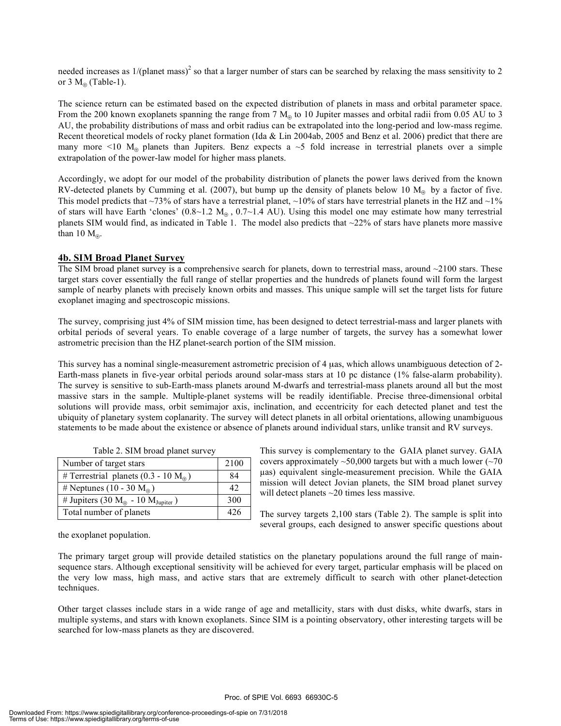needed increases as  $1/($ planet mass $)^2$  so that a larger number of stars can be searched by relaxing the mass sensitivity to 2 or 3  $M_{\oplus}$  (Table-1).

The science return can be estimated based on the expected distribution of planets in mass and orbital parameter space. From the 200 known exoplanets spanning the range from 7  $M_{\oplus}$  to 10 Jupiter masses and orbital radii from 0.05 AU to 3 AU, the probability distributions of mass and orbit radius can be extrapolated into the long-period and low-mass regime. Recent theoretical models of rocky planet formation (Ida & Lin 2004ab, 2005 and Benz et al. 2006) predict that there are many more <10  $M_{\odot}$  planets than Jupiters. Benz expects a  $\sim$ 5 fold increase in terrestrial planets over a simple extrapolation of the power-law model for higher mass planets.

Accordingly, we adopt for our model of the probability distribution of planets the power laws derived from the known RV-detected planets by Cumming et al. (2007), but bump up the density of planets below 10  $M_{\oplus}$  by a factor of five. This model predicts that ~73% of stars have a terrestrial planet, ~10% of stars have terrestrial planets in the HZ and ~1% of stars will have Earth 'clones' (0.8~1.2  $M_{\oplus}$ , 0.7~1.4 AU). Using this model one may estimate how many terrestrial planets SIM would find, as indicated in Table 1. The model also predicts that ~22% of stars have planets more massive than 10  $M_{\oplus}$ .

#### **4b. SIM Broad Planet Survey**

The SIM broad planet survey is a comprehensive search for planets, down to terrestrial mass, around  $\sim$ 2100 stars. These target stars cover essentially the full range of stellar properties and the hundreds of planets found will form the largest sample of nearby planets with precisely known orbits and masses. This unique sample will set the target lists for future exoplanet imaging and spectroscopic missions.

The survey, comprising just 4% of SIM mission time, has been designed to detect terrestrial-mass and larger planets with orbital periods of several years. To enable coverage of a large number of targets, the survey has a somewhat lower astrometric precision than the HZ planet-search portion of the SIM mission.

This survey has a nominal single-measurement astrometric precision of 4 µas, which allows unambiguous detection of 2-Earth-mass planets in five-year orbital periods around solar-mass stars at 10 pc distance (1% false-alarm probability). The survey is sensitive to sub-Earth-mass planets around M-dwarfs and terrestrial-mass planets around all but the most massive stars in the sample. Multiple-planet systems will be readily identifiable. Precise three-dimensional orbital solutions will provide mass, orbit semimajor axis, inclination, and eccentricity for each detected planet and test the ubiquity of planetary system coplanarity. The survey will detect planets in all orbital orientations, allowing unambiguous statements to be made about the existence or absence of planets around individual stars, unlike transit and RV surveys.

| Table 2. SHIVI broad planet survey                                          |      |
|-----------------------------------------------------------------------------|------|
| Number of target stars                                                      | 2100 |
| # Terrestrial planets (0.3 - 10 $M_{\odot}$ )                               | 84   |
| # Neptunes (10 - 30 $M_{\odot}$ )                                           | 42   |
| # Jupiters (30 M <sub><math>\oplus</math></sub> - 10 M <sub>Jupiter</sub> ) | 300  |
| Total number of planets                                                     |      |

Table 2. SIM broad planet survey

This survey is complementary to the GAIA planet survey. GAIA covers approximately  $\sim 50,000$  targets but with a much lower ( $\sim 70$ ) as) equivalent single-measurement precision. While the GAIA mission will detect Jovian planets, the SIM broad planet survey will detect planets ~20 times less massive.

The survey targets 2,100 stars (Table 2). The sample is split into several groups, each designed to answer specific questions about

the exoplanet population.

The primary target group will provide detailed statistics on the planetary populations around the full range of mainsequence stars. Although exceptional sensitivity will be achieved for every target, particular emphasis will be placed on the very low mass, high mass, and active stars that are extremely difficult to search with other planet-detection techniques.

Other target classes include stars in a wide range of age and metallicity, stars with dust disks, white dwarfs, stars in multiple systems, and stars with known exoplanets. Since SIM is a pointing observatory, other interesting targets will be searched for low-mass planets as they are discovered.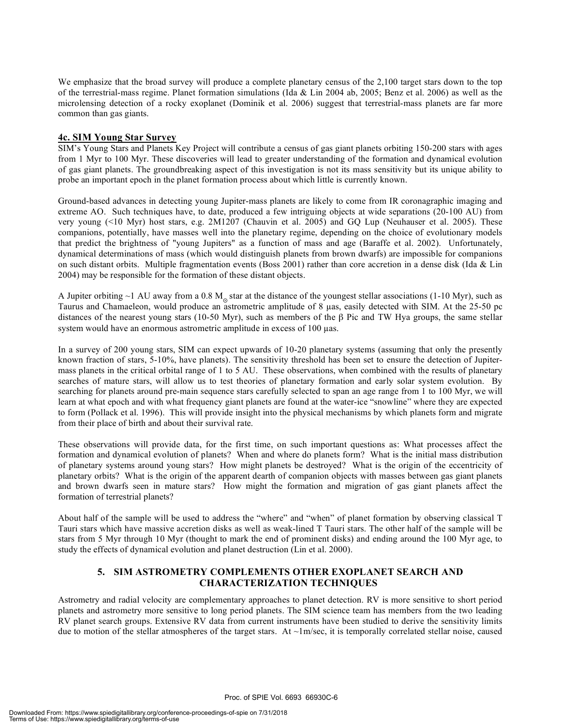We emphasize that the broad survey will produce a complete planetary census of the 2,100 target stars down to the top of the terrestrial-mass regime. Planet formation simulations (Ida & Lin 2004 ab, 2005; Benz et al. 2006) as well as the microlensing detection of a rocky exoplanet (Dominik et al. 2006) suggest that terrestrial-mass planets are far more common than gas giants.

#### **4c. SIM Young Star Survey**

SIM's Young Stars and Planets Key Project will contribute a census of gas giant planets orbiting 150-200 stars with ages from 1 Myr to 100 Myr. These discoveries will lead to greater understanding of the formation and dynamical evolution of gas giant planets. The groundbreaking aspect of this investigation is not its mass sensitivity but its unique ability to probe an important epoch in the planet formation process about which little is currently known.

Ground-based advances in detecting young Jupiter-mass planets are likely to come from IR coronagraphic imaging and extreme AO. Such techniques have, to date, produced a few intriguing objects at wide separations (20-100 AU) from very young (<10 Myr) host stars, e.g. 2M1207 (Chauvin et al. 2005) and GQ Lup (Neuhauser et al. 2005). These companions, potentially, have masses well into the planetary regime, depending on the choice of evolutionary models that predict the brightness of "young Jupiters" as a function of mass and age (Baraffe et al. 2002). Unfortunately, dynamical determinations of mass (which would distinguish planets from brown dwarfs) are impossible for companions on such distant orbits. Multiple fragmentation events (Boss 2001) rather than core accretion in a dense disk (Ida  $&\&$  Lin 2004) may be responsible for the formation of these distant objects.

A Jupiter orbiting ~1 AU away from a 0.8  $M_{\odot}$  star at the distance of the youngest stellar associations (1-10 Myr), such as Taurus and Chamaeleon, would produce an astrometric amplitude of 8 µas, easily detected with SIM. At the 25-50 pc distances of the nearest young stars (10-50 Myr), such as members of the  $\beta$  Pic and TW Hya groups, the same stellar system would have an enormous astrometric amplitude in excess of 100 µas.

In a survey of 200 young stars, SIM can expect upwards of 10-20 planetary systems (assuming that only the presently known fraction of stars, 5-10%, have planets). The sensitivity threshold has been set to ensure the detection of Jupitermass planets in the critical orbital range of 1 to 5 AU. These observations, when combined with the results of planetary searches of mature stars, will allow us to test theories of planetary formation and early solar system evolution. By searching for planets around pre-main sequence stars carefully selected to span an age range from 1 to 100 Myr, we will learn at what epoch and with what frequency giant planets are found at the water-ice "snowline" where they are expected to form (Pollack et al. 1996). This will provide insight into the physical mechanisms by which planets form and migrate from their place of birth and about their survival rate.

These observations will provide data, for the first time, on such important questions as: What processes affect the formation and dynamical evolution of planets? When and where do planets form? What is the initial mass distribution of planetary systems around young stars? How might planets be destroyed? What is the origin of the eccentricity of planetary orbits? What is the origin of the apparent dearth of companion objects with masses between gas giant planets and brown dwarfs seen in mature stars? How might the formation and migration of gas giant planets affect the formation of terrestrial planets?

About half of the sample will be used to address the "where" and "when" of planet formation by observing classical T Tauri stars which have massive accretion disks as well as weak-lined T Tauri stars. The other half of the sample will be stars from 5 Myr through 10 Myr (thought to mark the end of prominent disks) and ending around the 100 Myr age, to study the effects of dynamical evolution and planet destruction (Lin et al. 2000).

#### **5. SIM ASTROMETRY COMPLEMENTS OTHER EXOPLANET SEARCH AND CHARACTERIZATION TECHNIQUES**

Astrometry and radial velocity are complementary approaches to planet detection. RV is more sensitive to short period planets and astrometry more sensitive to long period planets. The SIM science team has members from the two leading RV planet search groups. Extensive RV data from current instruments have been studied to derive the sensitivity limits due to motion of the stellar atmospheres of the target stars. At  $\sim 1$ m/sec, it is temporally correlated stellar noise, caused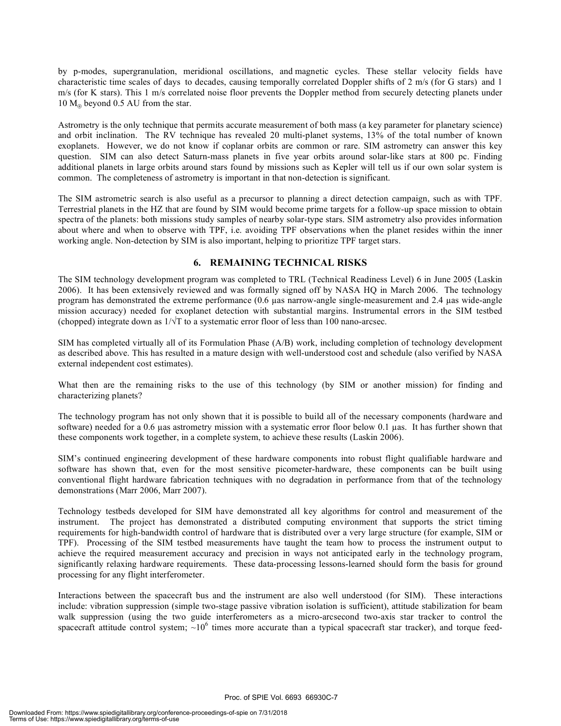by p-modes, supergranulation, meridional oscillations, and magnetic cycles. These stellar velocity fields have characteristic time scales of days to decades, causing temporally correlated Doppler shifts of 2 m/s (for G stars) and 1 m/s (for K stars). This 1 m/s correlated noise floor prevents the Doppler method from securely detecting planets under 10  $M_{\oplus}$  beyond 0.5 AU from the star.

Astrometry is the only technique that permits accurate measurement of both mass (a key parameter for planetary science) and orbit inclination. The RV technique has revealed 20 multi-planet systems, 13% of the total number of known exoplanets. However, we do not know if coplanar orbits are common or rare. SIM astrometry can answer this key question. SIM can also detect Saturn-mass planets in five year orbits around solar-like stars at 800 pc. Finding additional planets in large orbits around stars found by missions such as Kepler will tell us if our own solar system is common. The completeness of astrometry is important in that non-detection is significant.

The SIM astrometric search is also useful as a precursor to planning a direct detection campaign, such as with TPF. Terrestrial planets in the HZ that are found by SIM would become prime targets for a follow-up space mission to obtain spectra of the planets: both missions study samples of nearby solar-type stars. SIM astrometry also provides information about where and when to observe with TPF, i.e. avoiding TPF observations when the planet resides within the inner working angle. Non-detection by SIM is also important, helping to prioritize TPF target stars.

#### **6. REMAINING TECHNICAL RISKS**

The SIM technology development program was completed to TRL (Technical Readiness Level) 6 in June 2005 (Laskin 2006). It has been extensively reviewed and was formally signed off by NASA HQ in March 2006. The technology program has demonstrated the extreme performance  $(0.6 \mu$ as narrow-angle single-measurement and 2.4  $\mu$ as wide-angle mission accuracy) needed for exoplanet detection with substantial margins. Instrumental errors in the SIM testbed (chopped) integrate down as  $1/\sqrt{T}$  to a systematic error floor of less than 100 nano-arcsec.

SIM has completed virtually all of its Formulation Phase (A/B) work, including completion of technology development as described above. This has resulted in a mature design with well-understood cost and schedule (also verified by NASA external independent cost estimates).

What then are the remaining risks to the use of this technology (by SIM or another mission) for finding and characterizing planets?

The technology program has not only shown that it is possible to build all of the necessary components (hardware and software) needed for a  $0.6$  µas astrometry mission with a systematic error floor below  $0.1$  µas. It has further shown that these components work together, in a complete system, to achieve these results (Laskin 2006).

SIM's continued engineering development of these hardware components into robust flight qualifiable hardware and software has shown that, even for the most sensitive picometer-hardware, these components can be built using conventional flight hardware fabrication techniques with no degradation in performance from that of the technology demonstrations (Marr 2006, Marr 2007).

Technology testbeds developed for SIM have demonstrated all key algorithms for control and measurement of the instrument. The project has demonstrated a distributed computing environment that supports the strict timing requirements for high-bandwidth control of hardware that is distributed over a very large structure (for example, SIM or TPF). Processing of the SIM testbed measurements have taught the team how to process the instrument output to achieve the required measurement accuracy and precision in ways not anticipated early in the technology program, significantly relaxing hardware requirements. These data-processing lessons-learned should form the basis for ground processing for any flight interferometer.

Interactions between the spacecraft bus and the instrument are also well understood (for SIM). These interactions include: vibration suppression (simple two-stage passive vibration isolation is sufficient), attitude stabilization for beam walk suppression (using the two guide interferometers as a micro-arcsecond two-axis star tracker to control the spacecraft attitude control system;  $\sim 10^6$  times more accurate than a typical spacecraft star tracker), and torque feed